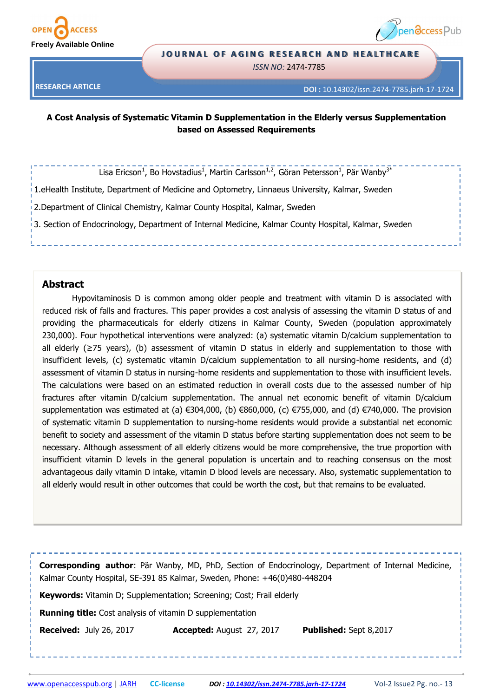



#### **JOURNAL OF AGING RESEARCH AND HEALTHCARE**

*ISSN NO:* 2474-7785

**RESEARCH ARTICLE**

**DOI :** 10.14302/issn.2474-7785.jarh-17-1724

## **A Cost Analysis of Systematic Vitamin D Supplementation in the Elderly versus Supplementation based on Assessed Requirements**

Lisa Ericson<sup>1</sup>, Bo Hovstadius<sup>1</sup>, Martin Carlsson<sup>1,2</sup>, Göran Petersson<sup>1</sup>, Pär Wanby<sup>3\*</sup>

1.eHealth Institute, Department of Medicine and Optometry, Linnaeus University, Kalmar, Sweden

2.Department of Clinical Chemistry, Kalmar County Hospital, Kalmar, Sweden

3. Section of Endocrinology, Department of Internal Medicine, Kalmar County Hospital, Kalmar, Sweden

## **Abstract**

Hypovitaminosis D is common among older people and treatment with vitamin D is associated with reduced risk of falls and fractures. This paper provides a cost analysis of assessing the vitamin D status of and providing the pharmaceuticals for elderly citizens in Kalmar County, Sweden (population approximately 230,000). Four hypothetical interventions were analyzed: (a) systematic vitamin D/calcium supplementation to all elderly (≥75 years), (b) assessment of vitamin D status in elderly and supplementation to those with insufficient levels, (c) systematic vitamin D/calcium supplementation to all nursing-home residents, and (d) assessment of vitamin D status in nursing-home residents and supplementation to those with insufficient levels. The calculations were based on an estimated reduction in overall costs due to the assessed number of hip fractures after vitamin D/calcium supplementation. The annual net economic benefit of vitamin D/calcium supplementation was estimated at (a)  $\epsilon$ 304,000, (b)  $\epsilon$ 860,000, (c)  $\epsilon$ 755,000, and (d)  $\epsilon$ 740,000. The provision of systematic vitamin D supplementation to nursing-home residents would provide a substantial net economic benefit to society and assessment of the vitamin D status before starting supplementation does not seem to be necessary. Although assessment of all elderly citizens would be more comprehensive, the true proportion with insufficient vitamin D levels in the general population is uncertain and to reaching consensus on the most advantageous daily vitamin D intake, vitamin D blood levels are necessary. Also, systematic supplementation to all elderly would result in other outcomes that could be worth the cost, but that remains to be evaluated.

**Corresponding author**: Pär Wanby, MD, PhD, Section of Endocrinology, Department of Internal Medicine, Kalmar County Hospital, SE-391 85 Kalmar, Sweden, Phone: +46(0)480-448204 **Keywords:** Vitamin D; Supplementation; Screening; Cost; Frail elderly **Running title:** Cost analysis of vitamin D supplementation **Received:** July 26, 2017 **Accepted:** August 27, 2017 **Published:** Sept 8,2017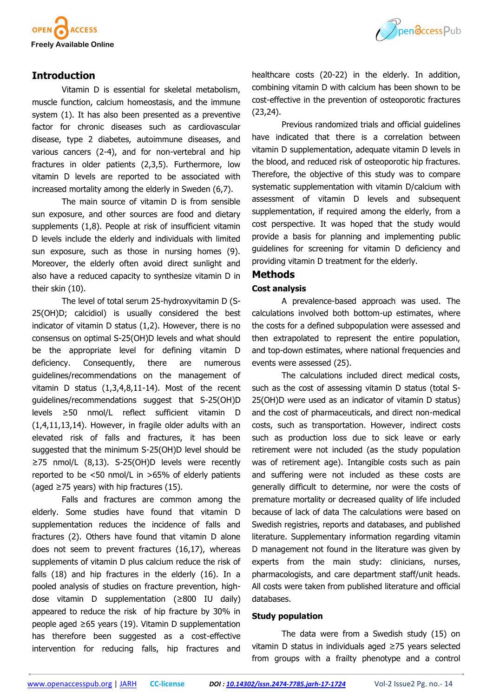

# **Introduction**

Vitamin D is essential for skeletal metabolism, muscle function, calcium homeostasis, and the immune system (1). It has also been presented as a preventive factor for chronic diseases such as cardiovascular disease, type 2 diabetes, autoimmune diseases, and various cancers (2-4), and for non-vertebral and hip fractures in older patients (2,3,5). Furthermore, low vitamin D levels are reported to be associated with increased mortality among the elderly in Sweden (6,7).

The main source of vitamin D is from sensible sun exposure, and other sources are food and dietary supplements (1,8). People at risk of insufficient vitamin D levels include the elderly and individuals with limited sun exposure, such as those in nursing homes (9). Moreover, the elderly often avoid direct sunlight and also have a reduced capacity to synthesize vitamin D in their skin (10).

The level of total serum 25-hydroxyvitamin D (S-25(OH)D; calcidiol) is usually considered the best indicator of vitamin D status (1,2). However, there is no consensus on optimal S-25(OH)D levels and what should be the appropriate level for defining vitamin D deficiency. Consequently, there are numerous guidelines/recommendations on the management of vitamin D status (1,3,4,8,11-14). Most of the recent guidelines/recommendations suggest that S-25(OH)D levels ≥50 nmol/L reflect sufficient vitamin D (1,4,11,13,14). However, in fragile older adults with an elevated risk of falls and fractures, it has been suggested that the minimum S-25(OH)D level should be ≥75 nmol/L (8,13). S-25(OH)D levels were recently reported to be <50 nmol/L in >65% of elderly patients (aged  $\geq$ 75 years) with hip fractures (15).

Falls and fractures are common among the elderly. Some studies have found that vitamin D supplementation reduces the incidence of falls and fractures ([2\).](file:///C:/Users/ues-pc1/Downloads/1724_revised_Ericson_et_al_clean_copy.docx#_ENREF_2#_ENREF_2) Others have found that vitamin D alone does not seem to prevent fractures [\(16,](file:///C:/Users/ues-pc1/Downloads/1724_revised_Ericson_et_al_clean_copy.docx#_ENREF_16#_ENREF_16)[17\),](file:///C:/Users/ues-pc1/Downloads/1724_revised_Ericson_et_al_clean_copy.docx#_ENREF_17#_ENREF_17) whereas supplements of vitamin D plus calcium reduce the risk of falls ([18\)](file:///C:/Users/ues-pc1/Downloads/1724_revised_Ericson_et_al_clean_copy.docx#_ENREF_18#_ENREF_18) and hip fractures in the elderly [\(16\).](file:///C:/Users/ues-pc1/Downloads/1724_revised_Ericson_et_al_clean_copy.docx#_ENREF_16#_ENREF_16) In a pooled analysis of studies on fracture prevention, highdose vitamin D supplementation (≥800 IU daily) appeared to reduce the risk of hip fracture by 30% in people aged ≥65 years (19). Vitamin D supplementation has therefore been suggested as a cost-effective intervention for reducing falls, hip fractures and



healthcare costs (20-22) in the elderly. In addition, combining vitamin D with calcium has been shown to be cost-effective in the prevention of osteoporotic fractures (23,24).

Previous randomized trials and official guidelines have indicated that there is a correlation between vitamin D supplementation, adequate vitamin D levels in the blood, and reduced risk of osteoporotic hip fractures. Therefore, the objective of this study was to compare systematic supplementation with vitamin D/calcium with assessment of vitamin D levels and subsequent supplementation, if required among the elderly, from a cost perspective. It was hoped that the study would provide a basis for planning and implementing public guidelines for screening for vitamin D deficiency and providing vitamin D treatment for the elderly.

## **Methods**

### **Cost analysis**

A prevalence-based approach was used. The calculations involved both bottom-up estimates, where the costs for a defined subpopulation were assessed and then extrapolated to represent the entire population, and top-down estimates, where national frequencies and events were assessed (25).

The calculations included direct medical costs, such as the cost of assessing vitamin D status (total S-25(OH)D were used as an indicator of vitamin D status) and the cost of pharmaceuticals, and direct non-medical costs, such as transportation. However, indirect costs such as production loss due to sick leave or early retirement were not included (as the study population was of retirement age). Intangible costs such as pain and suffering were not included as these costs are generally difficult to determine, nor were the costs of premature mortality or decreased quality of life included because of lack of data The calculations were based on Swedish registries, reports and databases, and published literature. Supplementary information regarding vitamin D management not found in the literature was given by experts from the main study: clinicians, nurses, pharmacologists, and care department staff/unit heads. All costs were taken from published literature and official databases.

#### **Study population**

The data were from a Swedish study ([15\)](file:///C:/Users/ues-pc1/Downloads/1724_revised_Ericson_et_al_clean_copy.docx#_ENREF_15#_ENREF_15) on vitamin D status in individuals aged ≥75 years selected from groups with a frailty phenotype and a control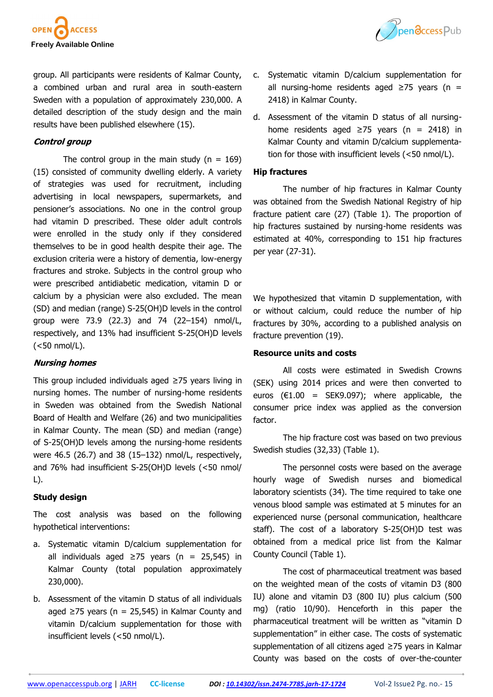



group. All participants were residents of Kalmar County, a combined urban and rural area in south-eastern Sweden with a population of approximately 230,000. A detailed description of the study design and the main results have been published elsewhere ([15\).](file:///C:/Users/ues-pc1/Downloads/1724_revised_Ericson_et_al_clean_copy.docx#_ENREF_15#_ENREF_15)

## **Control group**

The control group in the main study ( $n = 169$ ) (15) consisted of community dwelling elderly. A variety of strategies was used for recruitment, including advertising in local newspapers, supermarkets, and pensioner's associations. No one in the control group had vitamin D prescribed. These older adult controls were enrolled in the study only if they considered themselves to be in good health despite their age. The exclusion criteria were a history of dementia, low-energy fractures and stroke. Subjects in the control group who were prescribed antidiabetic medication, vitamin D or calcium by a physician were also excluded. The mean (SD) and median (range) S-25(OH)D levels in the control group were 73.9 (22.3) and 74 (22–154) nmol/L, respectively, and 13% had insufficient S-25(OH)D levels (<50 nmol/L).

## **Nursing homes**

This group included individuals aged ≥75 years living in nursing homes. The number of nursing-home residents in Sweden was obtained from the Swedish National Board of Health and Welfare (26) and two municipalities in Kalmar County. The mean (SD) and median (range) of S-25(OH)D levels among the nursing-home residents were 46.5 (26.7) and 38 (15–132) nmol/L, respectively, and 76% had insufficient S-25(OH)D levels (<50 nmol/ L).

## **Study design**

The cost analysis was based on the following hypothetical interventions:

- a. Systematic vitamin D/calcium supplementation for all individuals aged  $≥75$  years (n = 25,545) in Kalmar County (total population approximately 230,000).
- b. Assessment of the vitamin D status of all individuals aged ≥75 years ( $n = 25,545$ ) in Kalmar County and vitamin D/calcium supplementation for those with insufficient levels (<50 nmol/L).
- c. Systematic vitamin D/calcium supplementation for all nursing-home residents aged  $\geq$ 75 years (n = 2418) in Kalmar County.
- d. Assessment of the vitamin D status of all nursinghome residents aged  $≥75$  years (n = 2418) in Kalmar County and vitamin D/calcium supplementation for those with insufficient levels (<50 nmol/L).

### **Hip fractures**

The number of hip fractures in Kalmar County was obtained from the Swedish National Registry of hip fracture patient care ([27\)](file:///C:/Users/ues-pc1/Downloads/1724_revised_Ericson_et_al_clean_copy.docx#_ENREF_27#_ENREF_27) (Table 1). The proportion of hip fractures sustained by nursing-home residents was estimated at 40%, corresponding to 151 hip fractures per year (27-[31\).](file:///C:/Users/ues-pc1/Downloads/1724_revised_Ericson_et_al_clean_copy.docx#_ENREF_27#_ENREF_27)

We hypothesized that vitamin D supplementation, with or without calcium, could reduce the number of hip fractures by 30%, according to a published analysis on fracture prevention [\(19\).](file:///C:/Users/ues-pc1/Downloads/1724_revised_Ericson_et_al_clean_copy.docx#_ENREF_19#_ENREF_19)

#### **Resource units and costs**

All costs were estimated in Swedish Crowns (SEK) using 2014 prices and were then converted to euros  $(€1.00 = SEK9.097)$ ; where applicable, the consumer price index was applied as the conversion factor.

The hip fracture cost was based on two previous Swedish studies ([32,](file:///C:/Users/ues-pc1/Downloads/1724_revised_Ericson_et_al_clean_copy.docx#_ENREF_32#_ENREF_32)[33\)](file:///C:/Users/ues-pc1/Downloads/1724_revised_Ericson_et_al_clean_copy.docx#_ENREF_33#_ENREF_33) (Table 1).

The personnel costs were based on the average hourly wage of Swedish nurses and biomedical laboratory scientists ([34\)](file:///C:/Users/ues-pc1/Downloads/1724_revised_Ericson_et_al_clean_copy.docx#_ENREF_34#_ENREF_34). The time required to take one venous blood sample was estimated at 5 minutes for an experienced nurse (personal communication, healthcare staff). The cost of a laboratory S-25(OH)D test was obtained from a medical price list from the Kalmar County Council (Table 1).

The cost of pharmaceutical treatment was based on the weighted mean of the costs of vitamin D3 (800 IU) alone and vitamin D3 (800 IU) plus calcium (500 mg) (ratio 10/90). Henceforth in this paper the pharmaceutical treatment will be written as "vitamin D supplementation" in either case. The costs of systematic supplementation of all citizens aged ≥75 years in Kalmar County was based on the costs of over-the-counter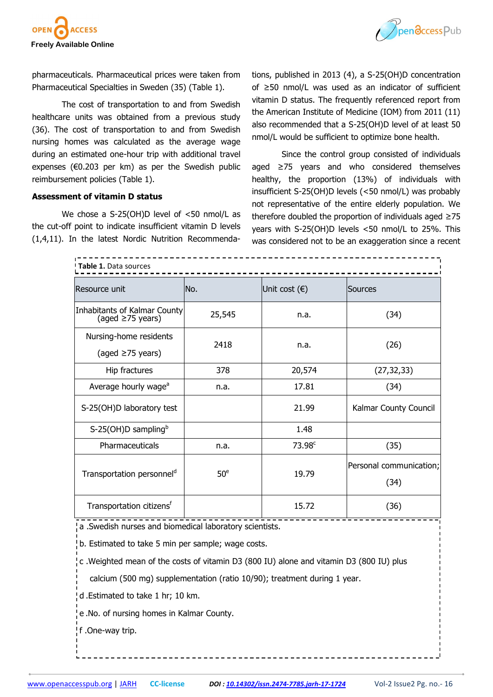



pharmaceuticals. Pharmaceutical prices were taken from Pharmaceutical Specialties in Sweden ([35\)](file:///C:/Users/ues-pc1/Downloads/1724_revised_Ericson_et_al_clean_copy.docx#_ENREF_35#_ENREF_35) (Table 1).

The cost of transportation to and from Swedish healthcare units was obtained from a previous study ([36\)](file:///C:/Users/ues-pc1/Downloads/1724_revised_Ericson_et_al_clean_copy.docx#_ENREF_36#_ENREF_36). The cost of transportation to and from Swedish nursing homes was calculated as the average wage during an estimated one-hour trip with additional travel expenses ( $E0.203$  per km) as per the Swedish public reimbursement policies (Table 1).

### **Assessment of vitamin D status**

We chose a S-25(OH)D level of <50 nmol/L as the cut-off point to indicate insufficient vitamin D levels ([1,](file:///C:/Users/ues-pc1/Downloads/1724_revised_Ericson_et_al_clean_copy.docx#_ENREF_1#_ENREF_1)[4,](file:///C:/Users/ues-pc1/Downloads/1724_revised_Ericson_et_al_clean_copy.docx#_ENREF_4#_ENREF_4)[11\)](file:///C:/Users/ues-pc1/Downloads/1724_revised_Ericson_et_al_clean_copy.docx#_ENREF_11#_ENREF_11). In the latest Nordic Nutrition Recommendations, published in 2013 ([4\)](file:///C:/Users/ues-pc1/Downloads/1724_revised_Ericson_et_al_clean_copy.docx#_ENREF_4#_ENREF_4), a S-25(OH)D concentration of ≥50 nmol/L was used as an indicator of sufficient vitamin D status. The frequently referenced report from the American Institute of Medicine (IOM) from 2011 ([11\)](file:///C:/Users/ues-pc1/Downloads/1724_revised_Ericson_et_al_clean_copy.docx#_ENREF_11#_ENREF_11)  also recommended that a S-25(OH)D level of at least 50 nmol/L would be sufficient to optimize bone health.

Since the control group consisted of individuals aged ≥75 years and who considered themselves healthy, the proportion (13%) of individuals with insufficient S-25(OH)D levels (<50 nmol/L) was probably not representative of the entire elderly population. We therefore doubled the proportion of individuals aged ≥75 years with S-25(OH)D levels <50 nmol/L to 25%. This was considered not to be an exaggeration since a recent

| Table 1. Data sources                                  |                 |                        |                                 |  |  |  |  |  |
|--------------------------------------------------------|-----------------|------------------------|---------------------------------|--|--|--|--|--|
| Resource unit                                          | No.             | Unit cost $(\epsilon)$ | Sources                         |  |  |  |  |  |
| Inhabitants of Kalmar County<br>(aged $\geq$ 75 years) | 25,545          | n.a.                   | (34)                            |  |  |  |  |  |
| Nursing-home residents<br>(aged $\geq$ 75 years)       | 2418            | n.a.                   | (26)                            |  |  |  |  |  |
| Hip fractures                                          | 378             | 20,574                 | (27, 32, 33)                    |  |  |  |  |  |
| Average hourly wage <sup>a</sup>                       | n.a.            | 17.81                  | (34)                            |  |  |  |  |  |
| S-25(OH)D laboratory test                              |                 | 21.99                  | Kalmar County Council           |  |  |  |  |  |
| S-25(OH)D sampling <sup>b</sup>                        |                 | 1.48                   |                                 |  |  |  |  |  |
| Pharmaceuticals                                        | n.a.            | 73.98 <sup>c</sup>     | (35)                            |  |  |  |  |  |
| Transportation personnel <sup>d</sup>                  | 50 <sup>e</sup> | 19.79                  | Personal communication;<br>(34) |  |  |  |  |  |
| Transportation citizens <sup>t</sup>                   |                 | 15.72                  | (36)                            |  |  |  |  |  |

a .Swedish nurses and biomedical laboratory scientists.

b. Estimated to take 5 min per sample; wage costs.

c .Weighted mean of the costs of vitamin D3 (800 IU) alone and vitamin D3 (800 IU) plus

calcium (500 mg) supplementation (ratio 10/90); treatment during 1 year.

d .Estimated to take 1 hr; 10 km.

e .No. of nursing homes in Kalmar County.

f .One-way trip.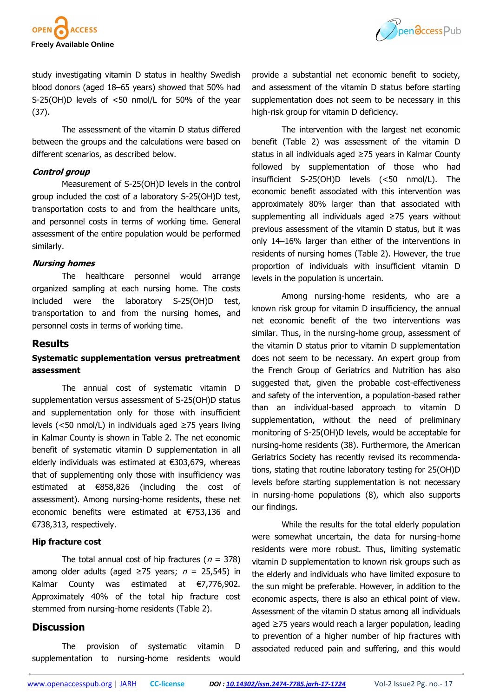



study investigating vitamin D status in healthy Swedish blood donors (aged 18–65 years) showed that 50% had S-25(OH)D levels of <50 nmol/L for 50% of the year ([37\)](file:///C:/Users/ues-pc1/Downloads/1724_revised_Ericson_et_al_clean_copy.docx#_ENREF_37#_ENREF_37).

The assessment of the vitamin D status differed between the groups and the calculations were based on different scenarios, as described below.

#### **Control group**

Measurement of S-25(OH)D levels in the control group included the cost of a laboratory S-25(OH)D test, transportation costs to and from the healthcare units, and personnel costs in terms of working time. General assessment of the entire population would be performed similarly.

#### **Nursing homes**

The healthcare personnel would arrange organized sampling at each nursing home. The costs included were the laboratory S-25(OH)D test, transportation to and from the nursing homes, and personnel costs in terms of working time.

### **Results**

## **Systematic supplementation versus pretreatment assessment**

The annual cost of systematic vitamin D supplementation versus assessment of S-25(OH)D status and supplementation only for those with insufficient levels (<50 nmol/L) in individuals aged ≥75 years living in Kalmar County is shown in Table 2. The net economic benefit of systematic vitamin D supplementation in all elderly individuals was estimated at €303,679, whereas that of supplementing only those with insufficiency was estimated at €858,826 (including the cost of assessment). Among nursing-home residents, these net economic benefits were estimated at €753,136 and €738,313, respectively.

#### **Hip fracture cost**

The total annual cost of hip fractures ( $n = 378$ ) among older adults (aged ≥75 years;  $n = 25,545$ ) in Kalmar County was estimated at €7,776,902. Approximately 40% of the total hip fracture cost stemmed from nursing-home residents (Table 2).

## **Discussion**

The provision of systematic vitamin D supplementation to nursing-home residents would provide a substantial net economic benefit to society, and assessment of the vitamin D status before starting supplementation does not seem to be necessary in this high-risk group for vitamin D deficiency.

The intervention with the largest net economic benefit (Table 2) was assessment of the vitamin D status in all individuals aged ≥75 years in Kalmar County followed by supplementation of those who had insufficient S-25(OH)D levels (<50 nmol/L). The economic benefit associated with this intervention was approximately 80% larger than that associated with supplementing all individuals aged ≥75 years without previous assessment of the vitamin D status, but it was only 14–16% larger than either of the interventions in residents of nursing homes (Table 2). However, the true proportion of individuals with insufficient vitamin D levels in the population is uncertain.

Among nursing-home residents, who are a known risk group for vitamin D insufficiency, the annual net economic benefit of the two interventions was similar. Thus, in the nursing-home group, assessment of the vitamin D status prior to vitamin D supplementation does not seem to be necessary. An expert group from the French Group of Geriatrics and Nutrition has also suggested that, given the probable cost-effectiveness and safety of the intervention, a population-based rather than an individual-based approach to vitamin D supplementation, without the need of preliminary monitoring of S-25(OH)D levels, would be acceptable for nursing-home residents ([38\)](file:///C:/Users/ues-pc1/Downloads/1724_revised_Ericson_et_al_clean_copy.docx#_ENREF_38#_ENREF_38). Furthermore, the American Geriatrics Society has recently revised its recommendations, stating that routine laboratory testing for 25(OH)D levels before starting supplementation is not necessary in nursing-home populations [\(8\),](file:///C:/Users/ues-pc1/Downloads/1724_revised_Ericson_et_al_clean_copy.docx#_ENREF_8#_ENREF_8) which also supports our findings.

While the results for the total elderly population were somewhat uncertain, the data for nursing-home residents were more robust. Thus, limiting systematic vitamin D supplementation to known risk groups such as the elderly and individuals who have limited exposure to the sun might be preferable. However, in addition to the economic aspects, there is also an ethical point of view. Assessment of the vitamin D status among all individuals aged ≥75 years would reach a larger population, leading to prevention of a higher number of hip fractures with associated reduced pain and suffering, and this would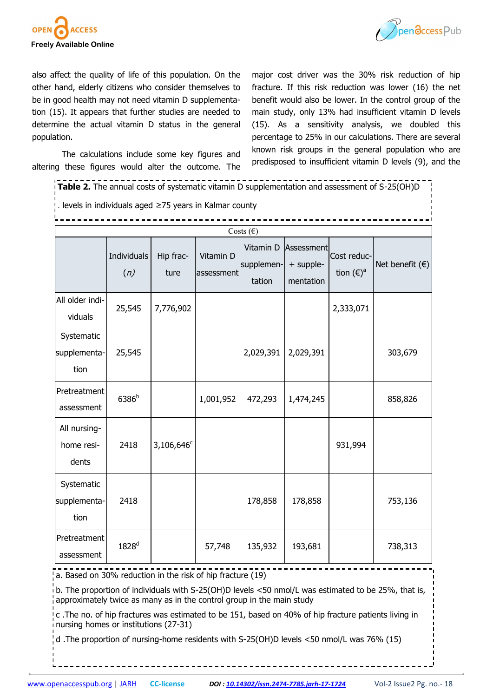



also affect the quality of life of this population. On the other hand, elderly citizens who consider themselves to be in good health may not need vitamin D supplementation [\(15\)](file:///C:/Users/ues-pc1/Downloads/1724_revised_Ericson_et_al_clean_copy.docx#_ENREF_15#_ENREF_15). It appears that further studies are needed to determine the actual vitamin D status in the general population.

The calculations include some key figures and altering these figures would alter the outcome. The major cost driver was the 30% risk reduction of hip fracture. If this risk reduction was lower ([16\)](file:///C:/Users/ues-pc1/Downloads/1724_revised_Ericson_et_al_clean_copy.docx#_ENREF_16#_ENREF_16) the net benefit would also be lower. In the control group of the main study, only 13% had insufficient vitamin D levels [\(15\).](file:///C:/Users/ues-pc1/Downloads/1724_revised_Ericson_et_al_clean_copy.docx#_ENREF_15#_ENREF_15) As a sensitivity analysis, we doubled this percentage to 25% in our calculations. There are several known risk groups in the general population who are predisposed to insufficient vitamin D levels ([9\),](file:///C:/Users/ues-pc1/Downloads/1724_revised_Ericson_et_al_clean_copy.docx#_ENREF_9#_ENREF_9) and the

| <b>Table 2.</b> The annual costs of systematic vitamin D supplementation and assessment of S-25(OH)D |                    |                        |                         |                                   |                                      |                                    |                          |  |  |
|------------------------------------------------------------------------------------------------------|--------------------|------------------------|-------------------------|-----------------------------------|--------------------------------------|------------------------------------|--------------------------|--|--|
| . levels in individuals aged ≥75 years in Kalmar county                                              |                    |                        |                         |                                   |                                      |                                    |                          |  |  |
| Costs $(\epsilon)$                                                                                   |                    |                        |                         |                                   |                                      |                                    |                          |  |  |
|                                                                                                      | Individuals<br>(n) | Hip frac-<br>ture      | Vitamin D<br>assessment | Vitamin D<br>supplemen-<br>tation | Assessment<br>+ supple-<br>mentation | Cost reduc-<br>tion $(\epsilon)^a$ | Net benefit $(\epsilon)$ |  |  |
| All older indi-<br>viduals                                                                           | 25,545             | 7,776,902              |                         |                                   |                                      | 2,333,071                          |                          |  |  |
| Systematic<br>supplementa-<br>tion                                                                   | 25,545             |                        |                         | 2,029,391                         | 2,029,391                            |                                    | 303,679                  |  |  |
| Pretreatment<br>assessment                                                                           | 6386 <sup>b</sup>  |                        | 1,001,952               | 472,293                           | 1,474,245                            |                                    | 858,826                  |  |  |
| All nursing-<br>home resi-<br>dents                                                                  | 2418               | 3,106,646 <sup>c</sup> |                         |                                   |                                      | 931,994                            |                          |  |  |
| Systematic<br>supplementa-<br>tion                                                                   | 2418               |                        |                         | 178,858                           | 178,858                              |                                    | 753,136                  |  |  |
| Pretreatment<br>assessment                                                                           | 1828 <sup>d</sup>  |                        | 57,748                  | 135,932                           | 193,681                              |                                    | 738,313                  |  |  |

a. Based on 30% reduction in the risk of hip fracture (19)

 $\overline{\text{b}}$  b. The proportion of individuals with S-25(OH)D levels <50 nmol/L was estimated to be 25%, that is, approximately twice as many as in the control group in the main study

c .The no. of hip fractures was estimated to be 151, based on 40% of hip fracture patients living in nursing homes or institutions (27-31)

d .The proportion of nursing-home residents with S-25(OH)D levels <50 nmol/L was 76% (15)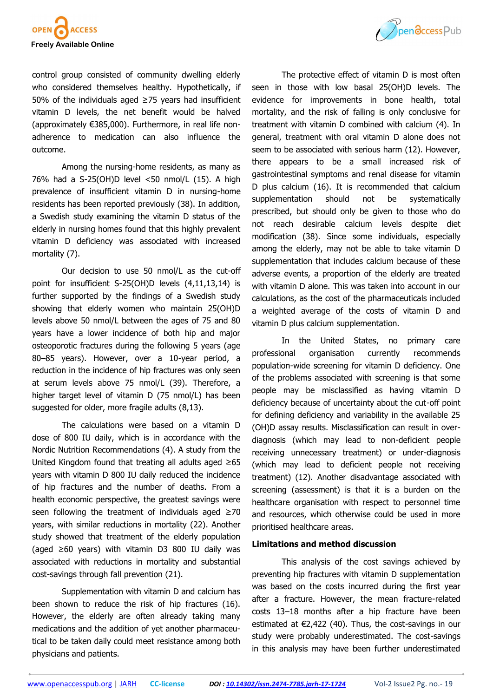

control group consisted of community dwelling elderly who considered themselves healthy. Hypothetically, if 50% of the individuals aged ≥75 years had insufficient vitamin D levels, the net benefit would be halved (approximately €385,000). Furthermore, in real life nonadherence to medication can also influence the outcome.

Among the nursing-home residents, as many as 76% had a S-25(OH)D level <50 nmol/L (15). A high prevalence of insufficient vitamin D in nursing-home residents has been reported previously [\(38\).](file:///C:/Users/ues-pc1/Downloads/1724_revised_Ericson_et_al_clean_copy.docx#_ENREF_38#_ENREF_38) In addition, a Swedish study examining the vitamin D status of the elderly in nursing homes found that this highly prevalent vitamin D deficiency was associated with increased mortality ([7\).](file:///C:/Users/ues-pc1/Downloads/1724_revised_Ericson_et_al_clean_copy.docx#_ENREF_7#_ENREF_7)

Our decision to use 50 nmol/L as the cut-off point for insufficient S-25(OH)D levels (4,11,13,14) is further supported by the findings of a Swedish study showing that elderly women who maintain 25(OH)D levels above 50 nmol/L between the ages of 75 and 80 years have a lower incidence of both hip and major osteoporotic fractures during the following 5 years (age 80–85 years). However, over a 10-year period, a reduction in the incidence of hip fractures was only seen at serum levels above 75 nmol/L ([39\).](file:///C:/Users/ues-pc1/Downloads/1724_revised_Ericson_et_al_clean_copy.docx#_ENREF_39#_ENREF_39) Therefore, a higher target level of vitamin D (75 nmol/L) has been suggested for older, more fragile adults [\(8,](file:///C:/Users/ues-pc1/Downloads/1724_revised_Ericson_et_al_clean_copy.docx#_ENREF_8#_ENREF_8)[13\)](file:///C:/Users/ues-pc1/Downloads/1724_revised_Ericson_et_al_clean_copy.docx#_ENREF_13#_ENREF_13).

The calculations were based on a vitamin D dose of 800 IU daily, which is in accordance with the Nordic Nutrition Recommendations ([4\)](file:///C:/Users/ues-pc1/Downloads/1724_revised_Ericson_et_al_clean_copy.docx#_ENREF_4#_ENREF_4). A study from the United Kingdom found that treating all adults aged ≥65 years with vitamin D 800 IU daily reduced the incidence of hip fractures and the number of deaths. From a health economic perspective, the greatest savings were seen following the treatment of individuals aged ≥70 years, with similar reductions in mortality ([22\).](file:///C:/Users/ues-pc1/Downloads/1724_revised_Ericson_et_al_clean_copy.docx#_ENREF_22#_ENREF_22) Another study showed that treatment of the elderly population (aged ≥60 years) with vitamin D3 800 IU daily was associated with reductions in mortality and substantial cost-savings through fall prevention (21).

Supplementation with vitamin D and calcium has been shown to reduce the risk of hip fractures ([16\).](file:///C:/Users/ues-pc1/Downloads/1724_revised_Ericson_et_al_clean_copy.docx#_ENREF_16#_ENREF_16) However, the elderly are often already taking many medications and the addition of yet another pharmaceutical to be taken daily could meet resistance among both physicians and patients.



The protective effect of vitamin D is most often seen in those with low basal 25(OH)D levels. The evidence for improvements in bone health, total mortality, and the risk of falling is only conclusive for treatment with vitamin D combined with calcium ([4\).](file:///C:/Users/ues-pc1/Downloads/1724_revised_Ericson_et_al_clean_copy.docx#_ENREF_4#_ENREF_4) In general, treatment with oral vitamin D alone does not seem to be associated with serious harm [\(12\).](file:///C:/Users/ues-pc1/Downloads/1724_revised_Ericson_et_al_clean_copy.docx#_ENREF_12#_ENREF_12) However, there appears to be a small increased risk of gastrointestinal symptoms and renal disease for vitamin D plus calcium ([16\).](file:///C:/Users/ues-pc1/Downloads/1724_revised_Ericson_et_al_clean_copy.docx#_ENREF_16#_ENREF_16) It is recommended that calcium supplementation should not be systematically prescribed, but should only be given to those who do not reach desirable calcium levels despite diet modification [\(38\)](file:///C:/Users/ues-pc1/Downloads/1724_revised_Ericson_et_al_clean_copy.docx#_ENREF_38#_ENREF_38). Since some individuals, especially among the elderly, may not be able to take vitamin D supplementation that includes calcium because of these adverse events, a proportion of the elderly are treated with vitamin D alone. This was taken into account in our calculations, as the cost of the pharmaceuticals included a weighted average of the costs of vitamin D and vitamin D plus calcium supplementation.

In the United States, no primary care professional organisation currently recommends population-wide screening for vitamin D deficiency. One of the problems associated with screening is that some people may be misclassified as having vitamin D deficiency because of uncertainty about the cut-off point for defining deficiency and variability in the available 25 (OH)D assay results. Misclassification can result in overdiagnosis (which may lead to non-deficient people receiving unnecessary treatment) or under-diagnosis (which may lead to deficient people not receiving treatment) ([12\)](file:///C:/Users/ues-pc1/Downloads/1724_revised_Ericson_et_al_clean_copy.docx#_ENREF_12#_ENREF_12). Another disadvantage associated with screening (assessment) is that it is a burden on the healthcare organisation with respect to personnel time and resources, which otherwise could be used in more prioritised healthcare areas.

#### **Limitations and method discussion**

This analysis of the cost savings achieved by preventing hip fractures with vitamin D supplementation was based on the costs incurred during the first year after a fracture. However, the mean fracture-related costs 13–18 months after a hip fracture have been estimated at  $\epsilon$ 2,422 ([40\)](file:///C:/Users/ues-pc1/Downloads/1724_revised_Ericson_et_al_clean_copy.docx#_ENREF_40#_ENREF_40). Thus, the cost-savings in our study were probably underestimated. The cost-savings in this analysis may have been further underestimated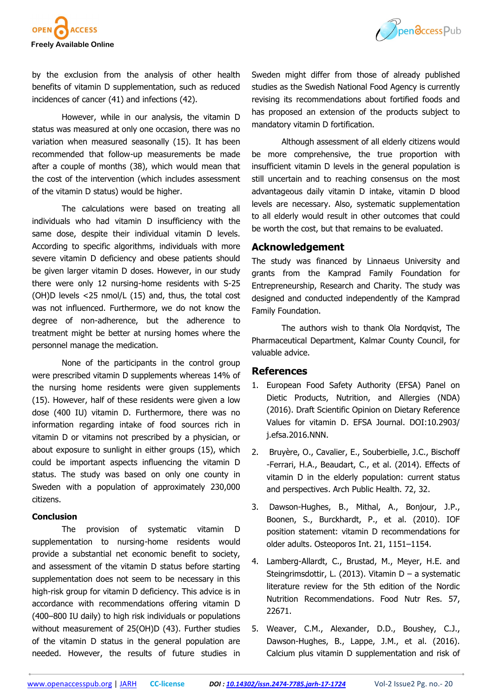

by the exclusion from the analysis of other health benefits of vitamin D supplementation, such as reduced incidences of cancer ([41\)](file:///C:/Users/ues-pc1/Downloads/1724_revised_Ericson_et_al_clean_copy.docx#_ENREF_41#_ENREF_41) and infections ([42\).](file:///C:/Users/ues-pc1/Downloads/1724_revised_Ericson_et_al_clean_copy.docx#_ENREF_42#_ENREF_42)

However, while in our analysis, the vitamin D status was measured at only one occasion, there was no variation when measured seasonally [\(15\).](file:///C:/Users/ues-pc1/Downloads/1724_revised_Ericson_et_al_clean_copy.docx#_ENREF_15#_ENREF_15) It has been recommended that follow-up measurements be made after a couple of months ([38\),](file:///C:/Users/ues-pc1/Downloads/1724_revised_Ericson_et_al_clean_copy.docx#_ENREF_38#_ENREF_38) which would mean that the cost of the intervention (which includes assessment of the vitamin D status) would be higher.

The calculations were based on treating all individuals who had vitamin D insufficiency with the same dose, despite their individual vitamin D levels. According to specific algorithms, individuals with more severe vitamin D deficiency and obese patients should be given larger vitamin D doses. However, in our study there were only 12 nursing-home residents with S-25 (OH)D levels <25 nmol/L [\(15\)](file:///C:/Users/ues-pc1/Downloads/1724_revised_Ericson_et_al_clean_copy.docx#_ENREF_15#_ENREF_15) and, thus, the total cost was not influenced. Furthermore, we do not know the degree of non-adherence, but the adherence to treatment might be better at nursing homes where the personnel manage the medication.

None of the participants in the control group were prescribed vitamin D supplements whereas 14% of the nursing home residents were given supplements ([15\)](file:///C:/Users/ues-pc1/Downloads/1724_revised_Ericson_et_al_clean_copy.docx#_ENREF_15#_ENREF_15). However, half of these residents were given a low dose (400 IU) vitamin D. Furthermore, there was no information regarding intake of food sources rich in vitamin D or vitamins not prescribed by a physician, or about exposure to sunlight in either groups ([15\),](file:///C:/Users/ues-pc1/Downloads/1724_revised_Ericson_et_al_clean_copy.docx#_ENREF_15#_ENREF_15) which could be important aspects influencing the vitamin D status. The study was based on only one county in Sweden with a population of approximately 230,000 citizens.

#### **Conclusion**

The provision of systematic vitamin D supplementation to nursing-home residents would provide a substantial net economic benefit to society, and assessment of the vitamin D status before starting supplementation does not seem to be necessary in this high-risk group for vitamin D deficiency. This advice is in accordance with recommendations offering vitamin D (400–800 IU daily) to high risk individuals or populations without measurement of 25(OH)D ([43\).](file:///C:/Users/ues-pc1/Downloads/1724_revised_Ericson_et_al_clean_copy.docx#_ENREF_43#_ENREF_43) Further studies of the vitamin D status in the general population are needed. However, the results of future studies in



Although assessment of all elderly citizens would be more comprehensive, the true proportion with insufficient vitamin D levels in the general population is still uncertain and to reaching consensus on the most advantageous daily vitamin D intake, vitamin D blood levels are necessary. Also, systematic supplementation to all elderly would result in other outcomes that could be worth the cost, but that remains to be evaluated.

## **Acknowledgement**

mandatory vitamin D fortification.

The study was financed by Linnaeus University and grants from the Kamprad Family Foundation for Entrepreneurship, Research and Charity. The study was designed and conducted independently of the Kamprad Family Foundation.

The authors wish to thank Ola Nordqvist, The Pharmaceutical Department, Kalmar County Council, for valuable advice.

## **References**

- 1. European Food Safety Authority (EFSA) Panel on Dietic Products, Nutrition, and Allergies (NDA) (2016). Draft Scientific Opinion on Dietary Reference Values for vitamin D. EFSA Journal. DOI:10.2903/ j.efsa.2016.NNN.
- 2. Bruyère, O., Cavalier, E., Souberbielle, J.C., Bischoff -Ferrari, H.A., Beaudart, C., et al. (2014). Effects of vitamin D in the elderly population: current status and perspectives. Arch Public Health. 72, 32.
- 3. Dawson-Hughes, B., Mithal, A., Bonjour, J.P., Boonen, S., Burckhardt, P., et al. (2010). IOF position statement: vitamin D recommendations for older adults. Osteoporos Int. 21, 1151–1154.
- 4. Lamberg-Allardt, C., Brustad, M., Meyer, H.E. and Steingrimsdottir, L. (2013). Vitamin D – a systematic literature review for the 5th edition of the Nordic Nutrition Recommendations. Food Nutr Res. 57, 22671.
- 5. Weaver, C.M., Alexander, D.D., Boushey, C.J., Dawson-Hughes, B., Lappe, J.M., et al. (2016). Calcium plus vitamin D supplementation and risk of

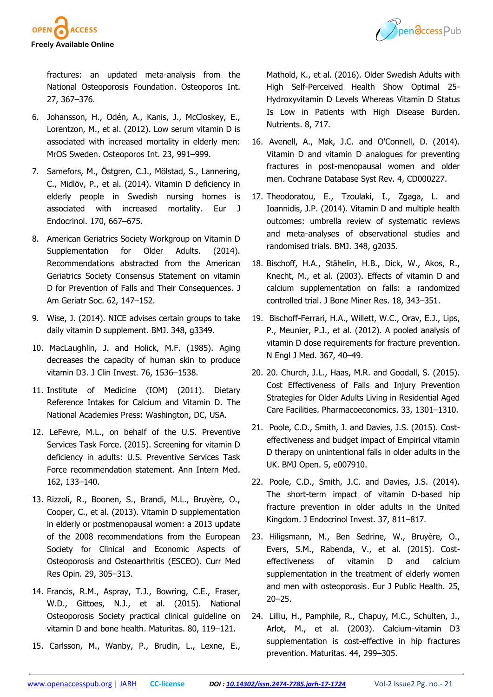



fractures: an updated meta-analysis from the National Osteoporosis Foundation. Osteoporos Int. 27, 367–376.

- 6. Johansson, H., Odén, A., Kanis, J., McCloskey, E., Lorentzon, M., et al. (2012). Low serum vitamin D is associated with increased mortality in elderly men: MrOS Sweden. Osteoporos Int. 23, 991–999.
- 7. Samefors, M., Östgren, C.J., Mölstad, S., Lannering, C., Midlöv, P., et al. (2014). Vitamin D deficiency in elderly people in Swedish nursing homes is associated with increased mortality. Eur J Endocrinol. 170, 667–675.
- 8. American Geriatrics Society Workgroup on Vitamin D Supplementation for Older Adults. (2014). Recommendations abstracted from the American Geriatrics Society Consensus Statement on vitamin D for Prevention of Falls and Their Consequences. J Am Geriatr Soc. 62, 147–152.
- 9. Wise, J. (2014). NICE advises certain groups to take daily vitamin D supplement. BMJ. 348, g3349.
- 10. MacLaughlin, J. and Holick, M.F. (1985). Aging decreases the capacity of human skin to produce vitamin D3. J Clin Invest. 76, 1536–1538.
- 11. Institute of Medicine (IOM) (2011). Dietary Reference Intakes for Calcium and Vitamin D. The National Academies Press: Washington, DC, USA.
- 12. LeFevre, M.L., on behalf of the U.S. Preventive Services Task Force. (2015). Screening for vitamin D deficiency in adults: U.S. Preventive Services Task Force recommendation statement. Ann Intern Med. 162, 133–140.
- 13. Rizzoli, R., Boonen, S., Brandi, M.L., Bruyère, O., Cooper, C., et al. (2013). Vitamin D supplementation in elderly or postmenopausal women: a 2013 update of the 2008 recommendations from the European Society for Clinical and Economic Aspects of Osteoporosis and Osteoarthritis (ESCEO). Curr Med Res Opin. 29, 305–313.
- 14. Francis, R.M., Aspray, T.J., Bowring, C.E., Fraser, W.D., Gittoes, N.J., et al. (2015). National Osteoporosis Society practical clinical guideline on vitamin D and bone health. Maturitas. 80, 119–121.
- 15. Carlsson, M., Wanby, P., Brudin, L., Lexne, E.,

Mathold, K., et al. (2016). Older Swedish Adults with High Self-Perceived Health Show Optimal 25- Hydroxyvitamin D Levels Whereas Vitamin D Status Is Low in Patients with High Disease Burden. Nutrients. 8, 717.

- 16. Avenell, A., Mak, J.C. and O'Connell, D. (2014). Vitamin D and vitamin D analogues for preventing fractures in post-menopausal women and older men. Cochrane Database Syst Rev. 4, CD000227.
- 17. Theodoratou, E., Tzoulaki, I., Zgaga, L. and Ioannidis, J.P. (2014). Vitamin D and multiple health outcomes: umbrella review of systematic reviews and meta-analyses of observational studies and randomised trials. BMJ. 348, g2035.
- 18. Bischoff, H.A., Stähelin, H.B., Dick, W., Akos, R., Knecht, M., et al. (2003). Effects of vitamin D and calcium supplementation on falls: a randomized controlled trial. J Bone Miner Res. 18, 343–351.
- 19. Bischoff-Ferrari, H.A., Willett, W.C., Orav, E.J., Lips, P., Meunier, P.J., et al. (2012). A pooled analysis of vitamin D dose requirements for fracture prevention. N Engl J Med. 367, 40–49.
- 20. 20. Church, J.L., Haas, M.R. and Goodall, S. (2015). Cost Effectiveness of Falls and Injury Prevention Strategies for Older Adults Living in Residential Aged Care Facilities. Pharmacoeconomics. 33, 1301–1310.
- 21. Poole, C.D., Smith, J. and Davies, J.S. (2015). Costeffectiveness and budget impact of Empirical vitamin D therapy on unintentional falls in older adults in the UK. BMJ Open. 5, e007910.
- 22. Poole, C.D., Smith, J.C. and Davies, J.S. (2014). The short-term impact of vitamin D-based hip fracture prevention in older adults in the United Kingdom. J Endocrinol Invest. 37, 811–817.
- 23. Hiligsmann, M., Ben Sedrine, W., Bruyère, O., Evers, S.M., Rabenda, V., et al. (2015). Costeffectiveness of vitamin D and calcium supplementation in the treatment of elderly women and men with osteoporosis. Eur J Public Health. 25, 20–25.
- 24. Lilliu, H., Pamphile, R., Chapuy, M.C., Schulten, J., Arlot, M., et al. (2003). Calcium-vitamin D3 supplementation is cost-effective in hip fractures prevention. Maturitas. 44, 299–305.